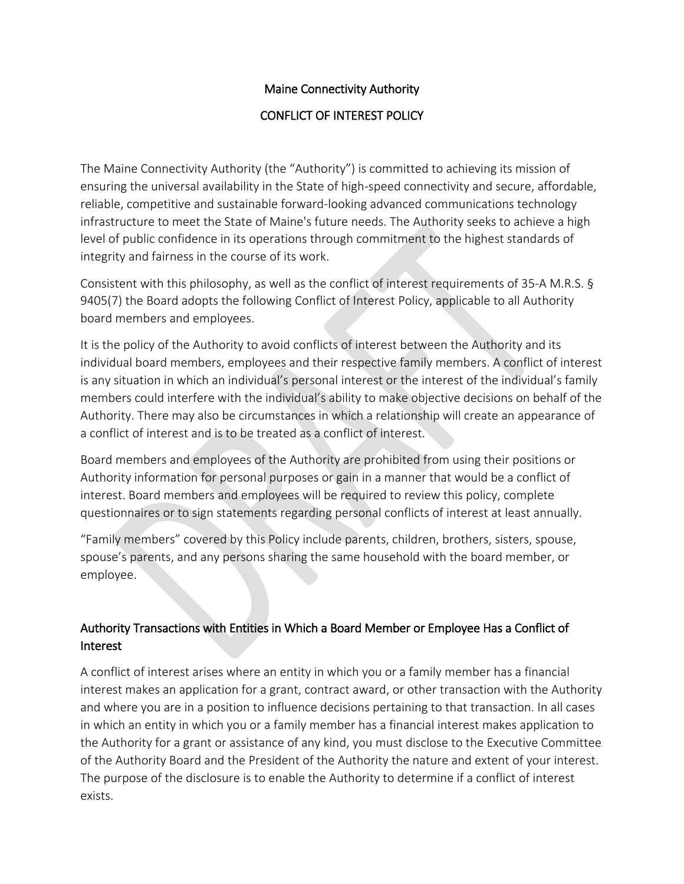# Maine Connectivity Authority

### CONFLICT OF INTEREST POLICY

The Maine Connectivity Authority (the "Authority") is committed to achieving its mission of ensuring the universal availability in the State of high-speed connectivity and secure, affordable, reliable, competitive and sustainable forward-looking advanced communications technology infrastructure to meet the State of Maine's future needs. The Authority seeks to achieve a high level of public confidence in its operations through commitment to the highest standards of integrity and fairness in the course of its work.

Consistent with this philosophy, as well as the conflict of interest requirements of 35-A M.R.S. § 9405(7) the Board adopts the following Conflict of Interest Policy, applicable to all Authority board members and employees.

It is the policy of the Authority to avoid conflicts of interest between the Authority and its individual board members, employees and their respective family members. A conflict of interest is any situation in which an individual's personal interest or the interest of the individual's family members could interfere with the individual's ability to make objective decisions on behalf of the Authority. There may also be circumstances in which a relationship will create an appearance of a conflict of interest and is to be treated as a conflict of interest.

Board members and employees of the Authority are prohibited from using their positions or Authority information for personal purposes or gain in a manner that would be a conflict of interest. Board members and employees will be required to review this policy, complete questionnaires or to sign statements regarding personal conflicts of interest at least annually.

"Family members" covered by this Policy include parents, children, brothers, sisters, spouse, spouse's parents, and any persons sharing the same household with the board member, or employee.

## Authority Transactions with Entities in Which a Board Member or Employee Has a Conflict of Interest

A conflict of interest arises where an entity in which you or a family member has a financial interest makes an application for a grant, contract award, or other transaction with the Authority and where you are in a position to influence decisions pertaining to that transaction. In all cases in which an entity in which you or a family member has a financial interest makes application to the Authority for a grant or assistance of any kind, you must disclose to the Executive Committee of the Authority Board and the President of the Authority the nature and extent of your interest. The purpose of the disclosure is to enable the Authority to determine if a conflict of interest exists.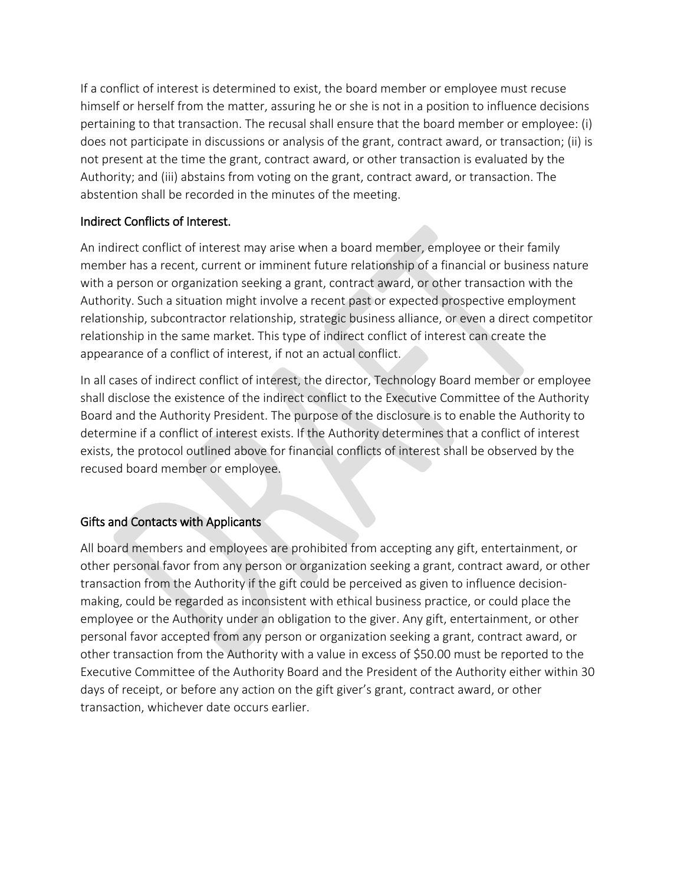If a conflict of interest is determined to exist, the board member or employee must recuse himself or herself from the matter, assuring he or she is not in a position to influence decisions pertaining to that transaction. The recusal shall ensure that the board member or employee: (i) does not participate in discussions or analysis of the grant, contract award, or transaction; (ii) is not present at the time the grant, contract award, or other transaction is evaluated by the Authority; and (iii) abstains from voting on the grant, contract award, or transaction. The abstention shall be recorded in the minutes of the meeting.

#### Indirect Conflicts of Interest.

An indirect conflict of interest may arise when a board member, employee or their family member has a recent, current or imminent future relationship of a financial or business nature with a person or organization seeking a grant, contract award, or other transaction with the Authority. Such a situation might involve a recent past or expected prospective employment relationship, subcontractor relationship, strategic business alliance, or even a direct competitor relationship in the same market. This type of indirect conflict of interest can create the appearance of a conflict of interest, if not an actual conflict.

In all cases of indirect conflict of interest, the director, Technology Board member or employee shall disclose the existence of the indirect conflict to the Executive Committee of the Authority Board and the Authority President. The purpose of the disclosure is to enable the Authority to determine if a conflict of interest exists. If the Authority determines that a conflict of interest exists, the protocol outlined above for financial conflicts of interest shall be observed by the recused board member or employee.

## Gifts and Contacts with Applicants

All board members and employees are prohibited from accepting any gift, entertainment, or other personal favor from any person or organization seeking a grant, contract award, or other transaction from the Authority if the gift could be perceived as given to influence decisionmaking, could be regarded as inconsistent with ethical business practice, or could place the employee or the Authority under an obligation to the giver. Any gift, entertainment, or other personal favor accepted from any person or organization seeking a grant, contract award, or other transaction from the Authority with a value in excess of \$50.00 must be reported to the Executive Committee of the Authority Board and the President of the Authority either within 30 days of receipt, or before any action on the gift giver's grant, contract award, or other transaction, whichever date occurs earlier.